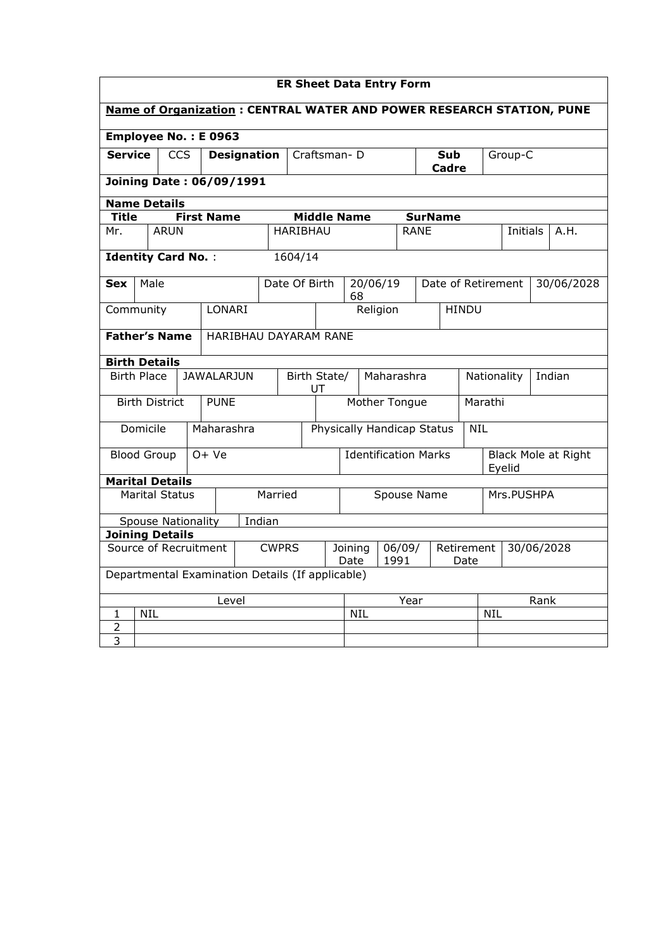| <b>ER Sheet Data Entry Form</b>                                             |                                                  |                           |  |                   |                                                    |                       |                                |               |                                       |  |                                                            |         |            |            |                     |        |
|-----------------------------------------------------------------------------|--------------------------------------------------|---------------------------|--|-------------------|----------------------------------------------------|-----------------------|--------------------------------|---------------|---------------------------------------|--|------------------------------------------------------------|---------|------------|------------|---------------------|--------|
| <b>Name of Organization: CENTRAL WATER AND POWER RESEARCH STATION, PUNE</b> |                                                  |                           |  |                   |                                                    |                       |                                |               |                                       |  |                                                            |         |            |            |                     |        |
| Employee No.: E 0963                                                        |                                                  |                           |  |                   |                                                    |                       |                                |               |                                       |  |                                                            |         |            |            |                     |        |
| <b>Service</b><br><b>CCS</b><br><b>Designation</b>                          |                                                  |                           |  |                   | Craftsman-D                                        |                       |                                |               | <b>Sub</b><br><b>Cadre</b>            |  |                                                            | Group-C |            |            |                     |        |
|                                                                             | <b>Joining Date: 06/09/1991</b>                  |                           |  |                   |                                                    |                       |                                |               |                                       |  |                                                            |         |            |            |                     |        |
| <b>Name Details</b>                                                         |                                                  |                           |  |                   |                                                    |                       |                                |               |                                       |  |                                                            |         |            |            |                     |        |
| <b>Title</b>                                                                |                                                  |                           |  | <b>First Name</b> |                                                    |                       | <b>Middle Name</b>             |               |                                       |  | <b>SurName</b>                                             |         |            |            |                     |        |
| Mr.                                                                         |                                                  | <b>ARUN</b>               |  |                   |                                                    | <b>HARIBHAU</b>       |                                |               |                                       |  | <b>RANE</b>                                                |         |            | Initials   |                     | A.H.   |
| <b>Identity Card No.:</b>                                                   |                                                  |                           |  |                   |                                                    | 1604/14               |                                |               |                                       |  |                                                            |         |            |            |                     |        |
| <b>Sex</b>                                                                  | Male                                             |                           |  | Date Of Birth     |                                                    |                       | 20/06/19                       |               |                                       |  | Date of Retirement<br>Nationality<br>Marathi<br><b>NIL</b> |         |            | 30/06/2028 |                     |        |
|                                                                             | Community<br>LONARI                              |                           |  |                   |                                                    |                       | 68<br>Religion<br><b>HINDU</b> |               |                                       |  |                                                            |         |            |            |                     |        |
| <b>Father's Name</b>                                                        |                                                  |                           |  |                   |                                                    | HARIBHAU DAYARAM RANE |                                |               |                                       |  |                                                            |         |            |            |                     |        |
| <b>Birth Details</b>                                                        |                                                  |                           |  |                   |                                                    |                       |                                |               |                                       |  |                                                            |         |            |            |                     |        |
| <b>Birth Place</b>                                                          |                                                  |                           |  | <b>JAWALARJUN</b> |                                                    |                       | Birth State/<br>UT             |               | Maharashra                            |  |                                                            |         |            |            |                     | Indian |
|                                                                             |                                                  | <b>Birth District</b>     |  | <b>PUNE</b>       |                                                    |                       |                                | Mother Tongue |                                       |  |                                                            |         |            |            |                     |        |
|                                                                             | Domicile                                         |                           |  | Maharashra        |                                                    |                       |                                |               |                                       |  | Physically Handicap Status                                 |         |            |            |                     |        |
| <b>Blood Group</b>                                                          |                                                  |                           |  | $O+Ve$            |                                                    |                       |                                |               | <b>Identification Marks</b><br>Eyelid |  |                                                            |         |            |            | Black Mole at Right |        |
| <b>Marital Details</b>                                                      |                                                  |                           |  |                   |                                                    |                       |                                |               |                                       |  |                                                            |         |            |            |                     |        |
|                                                                             |                                                  | <b>Marital Status</b>     |  |                   |                                                    | Married               |                                |               | Spouse Name<br>Mrs.PUSHPA             |  |                                                            |         |            |            |                     |        |
|                                                                             |                                                  | <b>Spouse Nationality</b> |  |                   | Indian                                             |                       |                                |               |                                       |  |                                                            |         |            |            |                     |        |
| <b>Joining Details</b>                                                      |                                                  |                           |  |                   |                                                    |                       |                                |               |                                       |  |                                                            |         |            |            |                     |        |
| Source of Recruitment<br><b>CWPRS</b>                                       |                                                  |                           |  | Joining<br>Date   | 06/09/<br>Retirement<br>30/06/2028<br>1991<br>Date |                       |                                |               |                                       |  |                                                            |         |            |            |                     |        |
|                                                                             | Departmental Examination Details (If applicable) |                           |  |                   |                                                    |                       |                                |               |                                       |  |                                                            |         |            |            |                     |        |
| Level                                                                       |                                                  |                           |  |                   |                                                    |                       | Year                           |               |                                       |  |                                                            | Rank    |            |            |                     |        |
| 1                                                                           | <b>NIL</b>                                       |                           |  |                   |                                                    |                       |                                |               | <b>NIL</b>                            |  |                                                            |         | <b>NIL</b> |            |                     |        |
| 2                                                                           |                                                  |                           |  |                   |                                                    |                       |                                |               |                                       |  |                                                            |         |            |            |                     |        |
| $\overline{3}$                                                              |                                                  |                           |  |                   |                                                    |                       |                                |               |                                       |  |                                                            |         |            |            |                     |        |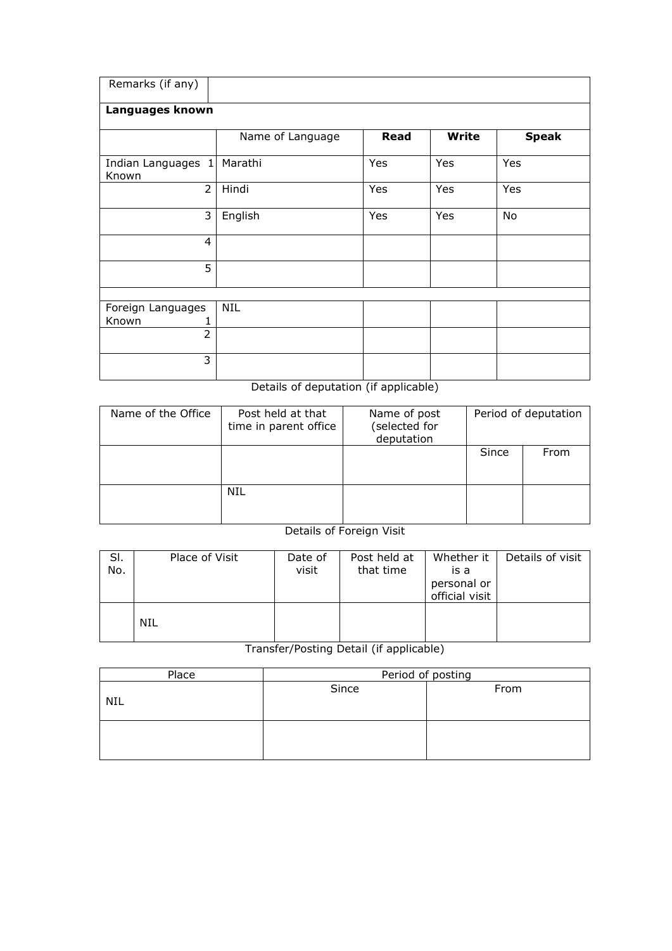| Remarks (if any)            |                  |             |              |              |
|-----------------------------|------------------|-------------|--------------|--------------|
| Languages known             |                  |             |              |              |
|                             | Name of Language | <b>Read</b> | <b>Write</b> | <b>Speak</b> |
| Indian Languages 1<br>Known | Marathi          | Yes         | Yes          | Yes          |
| $\overline{2}$              | Hindi            | Yes         | Yes          | Yes          |
| 3                           | English          | Yes         | Yes          | No           |
| 4                           |                  |             |              |              |
| 5                           |                  |             |              |              |
|                             |                  |             |              |              |
| Foreign Languages           | <b>NIL</b>       |             |              |              |
| Known                       |                  |             |              |              |
| $\overline{2}$              |                  |             |              |              |
| 3                           |                  |             |              |              |

Details of deputation (if applicable)

| Name of the Office | Post held at that<br>time in parent office | Name of post<br>(selected for<br>deputation | Period of deputation |      |  |  |
|--------------------|--------------------------------------------|---------------------------------------------|----------------------|------|--|--|
|                    |                                            |                                             | Since                | From |  |  |
|                    | NIL                                        |                                             |                      |      |  |  |

## Details of Foreign Visit

| SI.<br>No. | Place of Visit | Date of<br>visit | Post held at<br>that time | Whether it<br>is a<br>personal or<br>official visit | Details of visit |
|------------|----------------|------------------|---------------------------|-----------------------------------------------------|------------------|
|            | <b>NIL</b>     |                  |                           |                                                     |                  |

Transfer/Posting Detail (if applicable)

| Place | Period of posting |      |  |  |  |  |  |
|-------|-------------------|------|--|--|--|--|--|
| NIL   | Since             | From |  |  |  |  |  |
|       |                   |      |  |  |  |  |  |